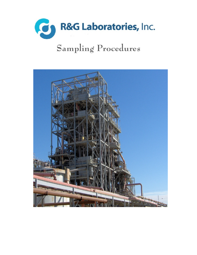

# **Sampling Procedures**

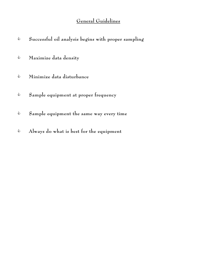# General Guidelines

| ⇘ | Successful oil analysis begins with proper sampling |
|---|-----------------------------------------------------|
| € | Maximize data density                               |
| ⇘ | Minimize data disturbance                           |
| ⇘ | Sample equipment at proper frequency                |
| ⇘ | Sample equipment the same way every time            |
| ⇘ | Always do what is best for the equipment            |
|   |                                                     |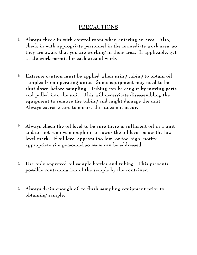#### PRECAUTIONS

- $\triangle$  Always check in with control room when entering an area. Also, check in with appropriate personnel in the immediate work area, so they are aware that you are working in their area. If applicable, get a safe work permit for each area of work.
- $\triangle$  Extreme caution must be applied when using tubing to obtain oil samples from operating units. Some equipment may need to be shut down before sampling. Tubing can be caught by moving parts and pulled into the unit. This will necessitate disassembling the equipment to remove the tubing and might damage the unit. **Always exercise care to ensure this does not occur.**
- $\triangle$  Always check the oil level to be sure there is sufficient oil in a unit and do not remove enough oil to lower the oil level below the low level mark. If oil level appears too low, or too high, notify appropriate site personnel so issue can be addressed.
- $\bullet$  Use only approved oil sample bottles and tubing. This prevents possible contamination of the sample by the container.
- $\triangle$  Always drain enough oil to flush sampling equipment prior to obtaining sample.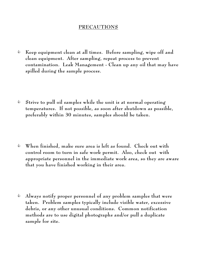#### PRECAUTIONS

 $\triangle$  Keep equipment clean at all times. Before sampling, wipe off and clean equipment. After sampling, repeat process to prevent contamination. Leak Management - Clean up any oil that may have spilled during the sample process.

- $\text{\degree}$  Strive to pull oil samples while the unit is at normal operating temperatures. If not possible, as soon after shutdown as possible, preferably within 30 minutes, samples should be taken.
- $\bullet$  When finished, make sure area is left as found. Check out with control room to turn in safe work permit. Also, check out with appropriate personnel in the immediate work area, so they are aware that you have finished working in their area.
- C Always notify proper personnel of any problem samples that were taken. Problem samples typically include visible water, excessive debris, or any other unusual conditions. Common notification methods are to use digital photographs and/or pull a duplicate sample for site.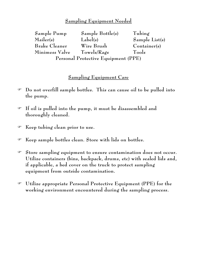### Sampling Equipment Needed

| Sample Pump                         | $Sample$ Bottle(s) | Tubing         |  |  |
|-------------------------------------|--------------------|----------------|--|--|
| Mailer(s)                           | Label(s)           | Sample List(s) |  |  |
| <b>Brake Cleaner</b>                | Wire Brush         | Container(s)   |  |  |
| Minimess Valve                      | $T$ owels/Rags     | Tools          |  |  |
| Personal Protective Equipment (PPE) |                    |                |  |  |

#### Sampling Equipment Care

- F Do not overfill sample bottles. This can cause oil to be pulled into the pump.
- F If oil is pulled into the pump, it must be disassembled and thoroughly cleaned.
- F Keep tubing clean prior to use.
- F Keep sample bottles clean. Store with lids on bottles.
- F Store sampling equipment to ensure contamination does not occur. Utilize containers (bins, backpack, drums, etc) with sealed lids and, if applicable, a bed cover on the truck to protect sampling equipment from outside contamination.
- F Utilize appropriate Personal Protective Equipment (PPE) for the working environment encountered during the sampling process.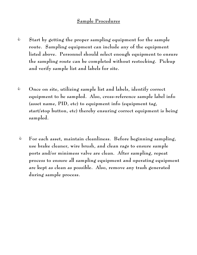#### Sample Procedures

- $\bullet$  Start by getting the proper sampling equipment for the sample route. Sampling equipment can include any of the equipment listed above. Personnel should select enough equipment to ensure the sampling route can be completed without restocking. Pickup and verify sample list and labels for site.
- $\bullet$  Once on site, utilizing sample list and labels, identify correct equipment to be sampled. Also, cross-reference sample label info (asset name, PID, etc) to equipment info (equipment tag, start/stop button, etc) thereby ensuring correct equipment is being sampled.
- $\text{\degree}$  For each asset, maintain cleanliness. Before beginning sampling, use brake cleaner, wire brush, and clean rags to ensure sample ports and/or minimess valve are clean. After sampling, repeat process to ensure all sampling equipment and operating equipment are kept as clean as possible. Also, remove any trash generated during sample process.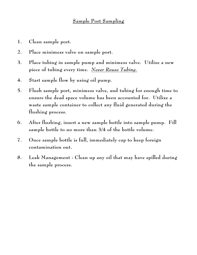#### Sample Port Sampling

- 1. Clean sample port.
- 2. Place minimess valve on sample port.
- 3. Place tubing in sample pump and minimess valve. Utilize a new piece of tubing every time. *Never Reuse Tubing.*
- 4. Start sample flow by using oil pump.
- 5. Flush sample port, minimess valve, and tubing for enough time to ensure the dead space volume has been accounted for. Utilize a waste sample container to collect any fluid generated during the flushing process.
- 6. After flushing, insert a new sample bottle into sample pump. Fill sample bottle to no more than 3/4 of the bottle volume.
- 7. Once sample bottle is full, immediately cap to keep foreign contamination out.
- 8. Leak Management Clean up any oil that may have spilled during the sample process.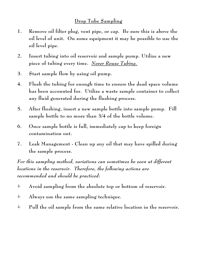#### Drop Tube Sampling

- 1. Remove oil filter plug, vent pipe, or cap. Be sure this is above the oil level of unit. On some equipment it may be possible to use the oil level pipe.
- 2. Insert tubing into oil reservoir and sample pump. Utilize a new piece of tubing every time. *Never Reuse Tubing.*
- 3. Start sample flow by using oil pump.
- 4. Flush the tubing for enough time to ensure the dead space volume has been accounted for. Utilize a waste sample container to collect any fluid generated during the flushing process.
- 5. After flushing, insert a new sample bottle into sample pump. Fill sample bottle to no more than 3/4 of the bottle volume.
- 6. Once sample bottle is full, immediately cap to keep foreign contamination out.
- 7. Leak Management Clean up any oil that may have spilled during the sample process.

*For this sampling method, variations can sometimes be seen at different locations in the reservoir. Therefore, the following actions are recommended and should be practiced:*

- $\triangle$  Avoid sampling from the absolute top or bottom of reservoir.
- $\triangle$  Always use the same sampling technique.
- $\bullet$  Pull the oil sample from the same relative location in the reservoir.